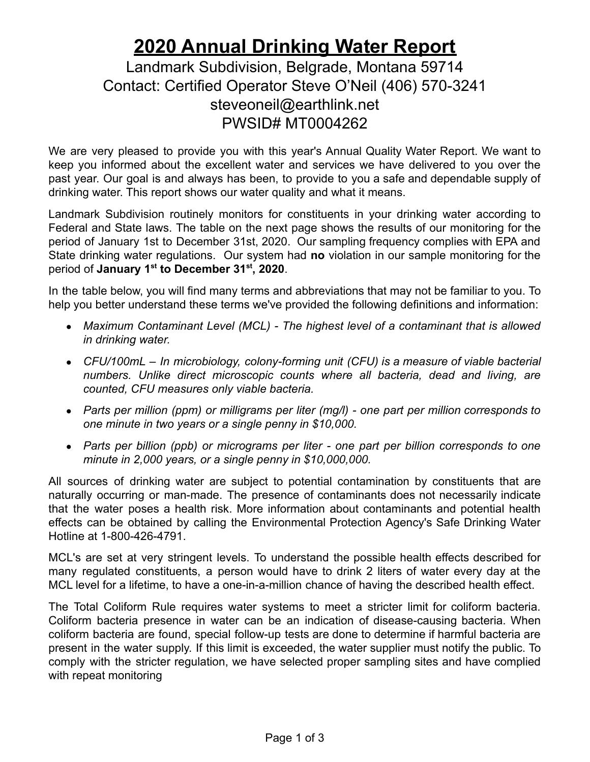## **2020 Annual Drinking Water Report**

## Landmark Subdivision, Belgrade, Montana 59714 Contact: Certified Operator Steve O'Neil (406) 570-3241 steveoneil@earthlink.net PWSID# MT0004262

We are very pleased to provide you with this year's Annual Quality Water Report. We want to keep you informed about the excellent water and services we have delivered to you over the past year. Our goal is and always has been, to provide to you a safe and dependable supply of drinking water. This report shows our water quality and what it means.

Landmark Subdivision routinely monitors for constituents in your drinking water according to Federal and State laws. The table on the next page shows the results of our monitoring for the period of January 1st to December 31st, 2020. Our sampling frequency complies with EPA and State drinking water regulations. Our system had **no** violation in our sample monitoring for the period of **January 1st to December 31st , 2020**.

In the table below, you will find many terms and abbreviations that may not be familiar to you. To help you better understand these terms we've provided the following definitions and information:

- *Maximum Contaminant Level (MCL) - The highest level of a contaminant that is allowed in drinking water.*
- *CFU/100mL – In microbiology, colony-forming unit (CFU) is a measure of viable bacterial numbers. Unlike direct microscopic counts where all bacteria, dead and living, are counted, CFU measures only viable bacteria.*
- *Parts per million (ppm) or milligrams per liter (mg/l) - one part per million corresponds to one minute in two years or a single penny in \$10,000.*
- *Parts per billion (ppb) or micrograms per liter - one part per billion corresponds to one minute in 2,000 years, or a single penny in \$10,000,000.*

All sources of drinking water are subject to potential contamination by constituents that are naturally occurring or man-made. The presence of contaminants does not necessarily indicate that the water poses a health risk. More information about contaminants and potential health effects can be obtained by calling the Environmental Protection Agency's Safe Drinking Water Hotline at 1-800-426-4791.

MCL's are set at very stringent levels. To understand the possible health effects described for many regulated constituents, a person would have to drink 2 liters of water every day at the MCL level for a lifetime, to have a one-in-a-million chance of having the described health effect.

The Total Coliform Rule requires water systems to meet a stricter limit for coliform bacteria. Coliform bacteria presence in water can be an indication of disease-causing bacteria. When coliform bacteria are found, special follow-up tests are done to determine if harmful bacteria are present in the water supply. If this limit is exceeded, the water supplier must notify the public. To comply with the stricter regulation, we have selected proper sampling sites and have complied with repeat monitoring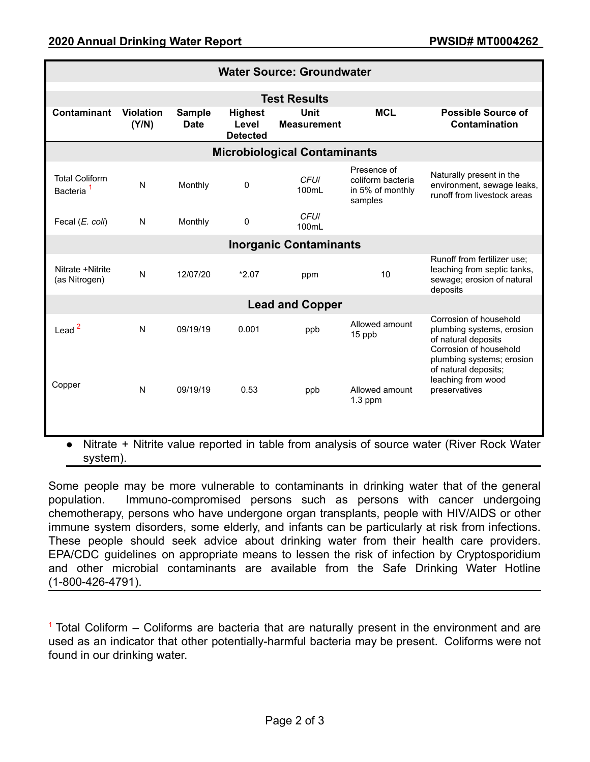| <b>Water Source: Groundwater</b>               |                           |                              |                                            |                            |                                                                 |                                                                                                                                                           |
|------------------------------------------------|---------------------------|------------------------------|--------------------------------------------|----------------------------|-----------------------------------------------------------------|-----------------------------------------------------------------------------------------------------------------------------------------------------------|
| <b>Test Results</b>                            |                           |                              |                                            |                            |                                                                 |                                                                                                                                                           |
| <b>Contaminant</b>                             | <b>Violation</b><br>(Y/N) | <b>Sample</b><br><b>Date</b> | <b>Highest</b><br>Level<br><b>Detected</b> | Unit<br><b>Measurement</b> | <b>MCL</b>                                                      | <b>Possible Source of</b><br>Contamination                                                                                                                |
| <b>Microbiological Contaminants</b>            |                           |                              |                                            |                            |                                                                 |                                                                                                                                                           |
| <b>Total Coliform</b><br>Bacteria <sup>1</sup> | N                         | Monthly                      | 0                                          | <b>CFUI</b><br>100mL       | Presence of<br>coliform bacteria<br>in 5% of monthly<br>samples | Naturally present in the<br>environment, sewage leaks,<br>runoff from livestock areas                                                                     |
| Fecal (E. coli)                                | N                         | Monthly                      | 0                                          | <b>CFUI</b><br>100mL       |                                                                 |                                                                                                                                                           |
| <b>Inorganic Contaminants</b>                  |                           |                              |                                            |                            |                                                                 |                                                                                                                                                           |
| Nitrate +Nitrite<br>(as Nitrogen)              | N                         | 12/07/20                     | $*2.07$                                    | ppm                        | 10                                                              | Runoff from fertilizer use;<br>leaching from septic tanks,<br>sewage; erosion of natural<br>deposits                                                      |
| <b>Lead and Copper</b>                         |                           |                              |                                            |                            |                                                                 |                                                                                                                                                           |
| Lead $2$                                       | $\mathsf{N}$              | 09/19/19                     | 0.001                                      | ppb                        | Allowed amount<br>15 ppb                                        | Corrosion of household<br>plumbing systems, erosion<br>of natural deposits<br>Corrosion of household<br>plumbing systems; erosion<br>of natural deposits; |
| Copper                                         | $\mathsf{N}$              | 09/19/19                     | 0.53                                       | ppb                        | Allowed amount<br>$1.3$ ppm                                     | leaching from wood<br>preservatives                                                                                                                       |

Nitrate + Nitrite value reported in table from analysis of source water (River Rock Water system).

Some people may be more vulnerable to contaminants in drinking water that of the general population. Immuno-compromised persons such as persons with cancer undergoing chemotherapy, persons who have undergone organ transplants, people with HIV/AIDS or other immune system disorders, some elderly, and infants can be particularly at risk from infections. These people should seek advice about drinking water from their health care providers. EPA/CDC guidelines on appropriate means to lessen the risk of infection by Cryptosporidium and other microbial contaminants are available from the Safe Drinking Water Hotline (1-800-426-4791).

 $1$  Total Coliform – Coliforms are bacteria that are naturally present in the environment and are used as an indicator that other potentially-harmful bacteria may be present. Coliforms were not found in our drinking water.